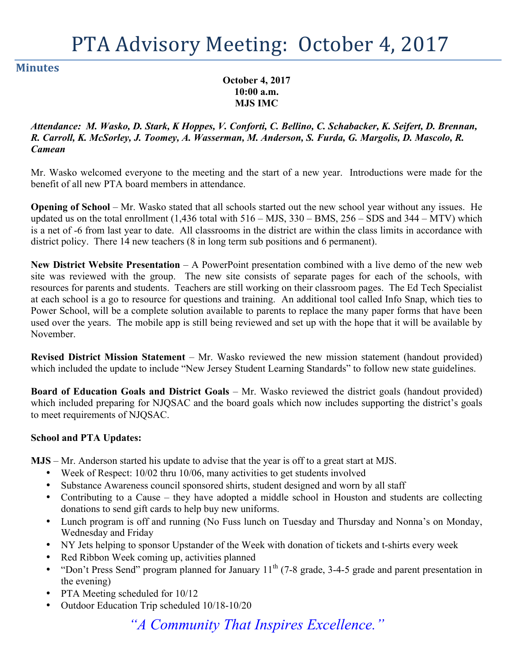# PTA Advisory Meeting: October 4, 2017

#### **Minutes**

**October 4, 2017 10:00 a.m. MJS IMC**

*Attendance: M. Wasko, D. Stark, K Hoppes, V. Conforti, C. Bellino, C. Schabacker, K. Seifert, D. Brennan, R. Carroll, K. McSorley, J. Toomey, A. Wasserman, M. Anderson, S. Furda, G. Margolis, D. Mascolo, R. Camean*

Mr. Wasko welcomed everyone to the meeting and the start of a new year. Introductions were made for the benefit of all new PTA board members in attendance.

**Opening of School** – Mr. Wasko stated that all schools started out the new school year without any issues. He updated us on the total enrollment  $(1,436 \text{ total with } 516 - \text{MJS}, 330 - \text{BMS}, 256 - \text{SDS} \text{ and } 344 - \text{MTV})$  which is a net of -6 from last year to date. All classrooms in the district are within the class limits in accordance with district policy. There 14 new teachers (8 in long term sub positions and 6 permanent).

**New District Website Presentation** – A PowerPoint presentation combined with a live demo of the new web site was reviewed with the group. The new site consists of separate pages for each of the schools, with resources for parents and students. Teachers are still working on their classroom pages. The Ed Tech Specialist at each school is a go to resource for questions and training. An additional tool called Info Snap, which ties to Power School, will be a complete solution available to parents to replace the many paper forms that have been used over the years. The mobile app is still being reviewed and set up with the hope that it will be available by November.

**Revised District Mission Statement** – Mr. Wasko reviewed the new mission statement (handout provided) which included the update to include "New Jersey Student Learning Standards" to follow new state guidelines.

**Board of Education Goals and District Goals** – Mr. Wasko reviewed the district goals (handout provided) which included preparing for NJQSAC and the board goals which now includes supporting the district's goals to meet requirements of NJQSAC.

#### **School and PTA Updates:**

**MJS** – Mr. Anderson started his update to advise that the year is off to a great start at MJS.

- Week of Respect: 10/02 thru 10/06, many activities to get students involved
- Substance Awareness council sponsored shirts, student designed and worn by all staff
- Contributing to a Cause they have adopted a middle school in Houston and students are collecting donations to send gift cards to help buy new uniforms.
- Lunch program is off and running (No Fuss lunch on Tuesday and Thursday and Nonna's on Monday, Wednesday and Friday
- NY Jets helping to sponsor Upstander of the Week with donation of tickets and t-shirts every week
- Red Ribbon Week coming up, activities planned
- "Don't Press Send" program planned for January  $11<sup>th</sup>$  (7-8 grade, 3-4-5 grade and parent presentation in the evening)
- PTA Meeting scheduled for  $10/12$
- Outdoor Education Trip scheduled 10/18-10/20

*"A Community That Inspires Excellence."*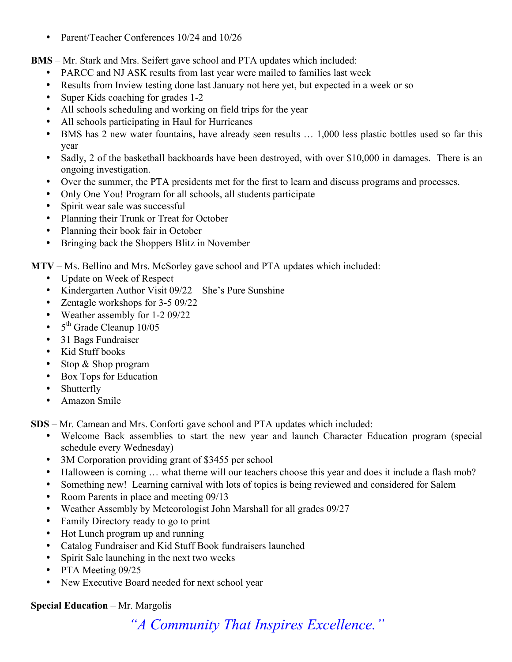• Parent/Teacher Conferences 10/24 and 10/26

**BMS** – Mr. Stark and Mrs. Seifert gave school and PTA updates which included:

- PARCC and NJ ASK results from last year were mailed to families last week
- Results from Inview testing done last January not here yet, but expected in a week or so
- Super Kids coaching for grades 1-2
- All schools scheduling and working on field trips for the year
- All schools participating in Haul for Hurricanes
- BMS has 2 new water fountains, have already seen results … 1,000 less plastic bottles used so far this year
- Sadly, 2 of the basketball backboards have been destroved, with over \$10,000 in damages. There is an ongoing investigation.
- Over the summer, the PTA presidents met for the first to learn and discuss programs and processes.
- Only One You! Program for all schools, all students participate
- Spirit wear sale was successful
- Planning their Trunk or Treat for October
- Planning their book fair in October
- Bringing back the Shoppers Blitz in November

**MTV** – Ms. Bellino and Mrs. McSorley gave school and PTA updates which included:

- Update on Week of Respect
- Kindergarten Author Visit 09/22 She's Pure Sunshine
- Zentagle workshops for 3-5 09/22
- Weather assembly for 1-2 09/22
- 5<sup>th</sup> Grade Cleanup 10/05
- 31 Bags Fundraiser
- Kid Stuff books
- Stop & Shop program
- Box Tops for Education
- Shutterfly
- Amazon Smile

**SDS** – Mr. Camean and Mrs. Conforti gave school and PTA updates which included:

- Welcome Back assemblies to start the new year and launch Character Education program (special schedule every Wednesday)
- 3M Corporation providing grant of \$3455 per school
- Halloween is coming … what theme will our teachers choose this year and does it include a flash mob?
- Something new! Learning carnival with lots of topics is being reviewed and considered for Salem
- Room Parents in place and meeting 09/13
- Weather Assembly by Meteorologist John Marshall for all grades 09/27
- Family Directory ready to go to print
- Hot Lunch program up and running
- Catalog Fundraiser and Kid Stuff Book fundraisers launched
- Spirit Sale launching in the next two weeks
- PTA Meeting 09/25
- New Executive Board needed for next school year

#### **Special Education** – Mr. Margolis

*"A Community That Inspires Excellence."*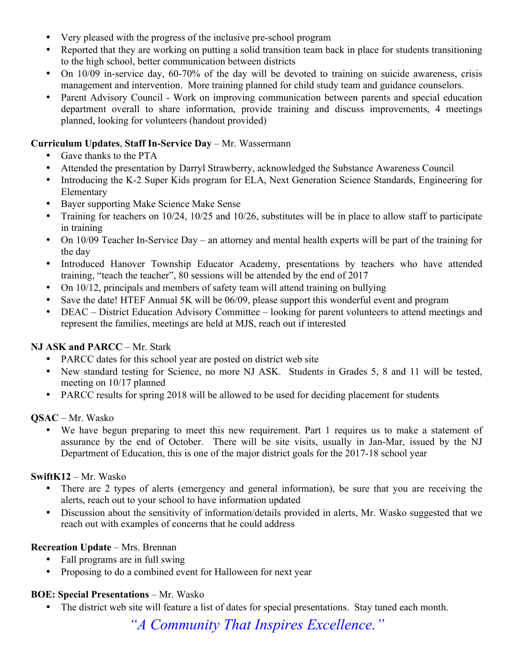- Very pleased with the progress of the inclusive pre-school program
- Reported that they are working on putting a solid transition team back in place for students transitioning to the high school, better communication between districts
- On 10/09 in-service day, 60-70% of the day will be devoted to training on suicide awareness, crisis management and intervention. More training planned for child study team and guidance counselors.
- Parent Advisory Council Work on improving communication between parents and special education department overall to share information, provide training and discuss improvements, 4 meetings planned, looking for volunteers (handout provided)

#### **Curriculum Updates**, **Staff In-Service Day** – Mr. Wassermann

- Gave thanks to the PTA
- Attended the presentation by Darryl Strawberry, acknowledged the Substance Awareness Council
- Introducing the K-2 Super Kids program for ELA, Next Generation Science Standards, Engineering for Elementary
- Bayer supporting Make Science Make Sense
- Training for teachers on 10/24, 10/25 and 10/26, substitutes will be in place to allow staff to participate in training
- On 10/09 Teacher In-Service Day an attorney and mental health experts will be part of the training for the day
- Introduced Hanover Township Educator Academy, presentations by teachers who have attended training, "teach the teacher", 80 sessions will be attended by the end of 2017
- On 10/12, principals and members of safety team will attend training on bullying
- Save the date! HTEF Annual 5K will be 06/09, please support this wonderful event and program
- DEAC District Education Advisory Committee looking for parent volunteers to attend meetings and represent the families, meetings are held at MJS, reach out if interested

# **NJ ASK and PARCC** – Mr. Stark

- PARCC dates for this school year are posted on district web site
- New standard testing for Science, no more NJ ASK. Students in Grades 5, 8 and 11 will be tested, meeting on 10/17 planned
- PARCC results for spring 2018 will be allowed to be used for deciding placement for students

# **QSAC** – Mr. Wasko

We have begun preparing to meet this new requirement. Part 1 requires us to make a statement of assurance by the end of October. There will be site visits, usually in Jan-Mar, issued by the NJ Department of Education, this is one of the major district goals for the 2017-18 school year

# **SwiftK12** – Mr. Wasko

- There are 2 types of alerts (emergency and general information), be sure that you are receiving the alerts, reach out to your school to have information updated
- Discussion about the sensitivity of information/details provided in alerts, Mr. Wasko suggested that we reach out with examples of concerns that he could address

# **Recreation Update** – Mrs. Brennan

- Fall programs are in full swing
- Proposing to do a combined event for Halloween for next year

# **BOE: Special Presentations** – Mr. Wasko

The district web site will feature a list of dates for special presentations. Stay tuned each month.

*"A Community That Inspires Excellence."*